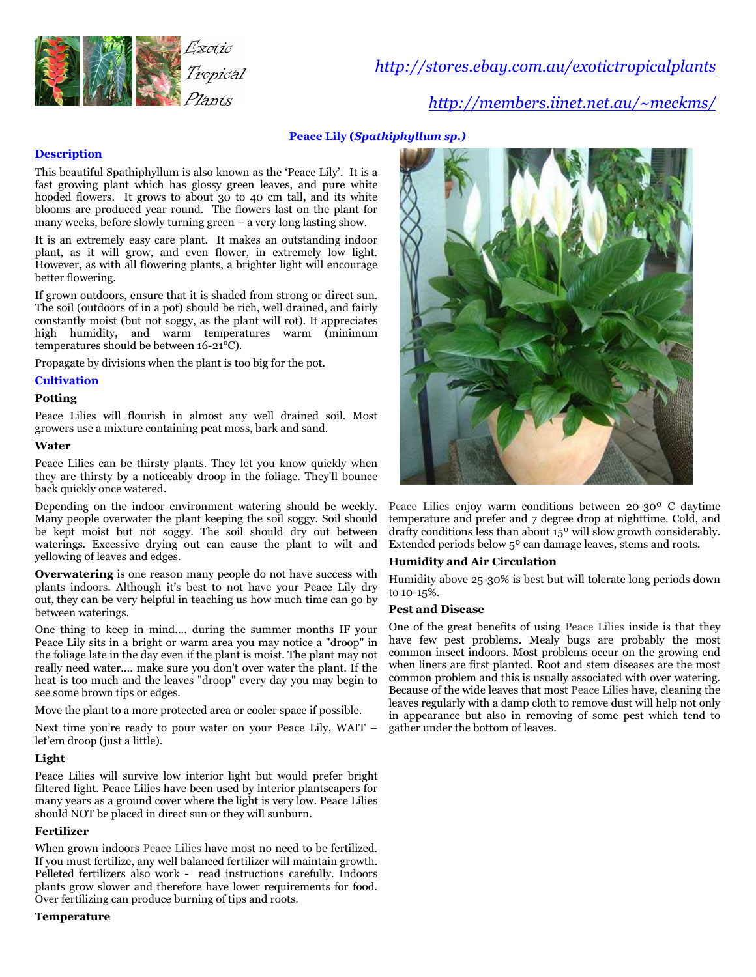

http://stores.ebay.com.au/exotictropicalplants

http://members.iinet.net.au/~meckms/

# Peace Lily (Spathiphyllum sp.)

# **Description**

This beautiful Spathiphyllum is also known as the 'Peace Lily'. It is a fast growing plant which has glossy green leaves, and pure white hooded flowers. It grows to about 30 to 40 cm tall, and its white blooms are produced year round. The flowers last on the plant for many weeks, before slowly turning green – a very long lasting show.

It is an extremely easy care plant. It makes an outstanding indoor plant, as it will grow, and even flower, in extremely low light. However, as with all flowering plants, a brighter light will encourage better flowering.

If grown outdoors, ensure that it is shaded from strong or direct sun. The soil (outdoors of in a pot) should be rich, well drained, and fairly constantly moist (but not soggy, as the plant will rot). It appreciates high humidity, and warm temperatures warm (minimum temperatures should be between 16-21°C).

Propagate by divisions when the plant is too big for the pot.

## **Cultivation**

## Potting

Peace Lilies will flourish in almost any well drained soil. Most growers use a mixture containing peat moss, bark and sand.

## **Water**

Peace Lilies can be thirsty plants. They let you know quickly when they are thirsty by a noticeably droop in the foliage. They'll bounce back quickly once watered.

Depending on the indoor environment watering should be weekly. Many people overwater the plant keeping the soil soggy. Soil should be kept moist but not soggy. The soil should dry out between waterings. Excessive drying out can cause the plant to wilt and yellowing of leaves and edges.

Overwatering is one reason many people do not have success with plants indoors. Although it's best to not have your Peace Lily dry out, they can be very helpful in teaching us how much time can go by between waterings.

One thing to keep in mind.... during the summer months IF your Peace Lily sits in a bright or warm area you may notice a "droop" in the foliage late in the day even if the plant is moist. The plant may not really need water.... make sure you don't over water the plant. If the heat is too much and the leaves "droop" every day you may begin to see some brown tips or edges.

Move the plant to a more protected area or cooler space if possible.

Next time you're ready to pour water on your Peace Lily, WAIT – let'em droop (just a little).

## Light

Peace Lilies will survive low interior light but would prefer bright filtered light. Peace Lilies have been used by interior plantscapers for many years as a ground cover where the light is very low. Peace Lilies should NOT be placed in direct sun or they will sunburn.

## Fertilizer

When grown indoors Peace Lilies have most no need to be fertilized. If you must fertilize, any well balanced fertilizer will maintain growth. Pelleted fertilizers also work - read instructions carefully. Indoors plants grow slower and therefore have lower requirements for food. Over fertilizing can produce burning of tips and roots.

#### Temperature



Peace Lilies enjoy warm conditions between 20-30º C daytime temperature and prefer and 7 degree drop at nighttime. Cold, and drafty conditions less than about 15<sup>o</sup> will slow growth considerably. Extended periods below 5º can damage leaves, stems and roots.

## Humidity and Air Circulation

Humidity above 25-30% is best but will tolerate long periods down to 10-15%.

### Pest and Disease

One of the great benefits of using Peace Lilies inside is that they have few pest problems. Mealy bugs are probably the most common insect indoors. Most problems occur on the growing end when liners are first planted. Root and stem diseases are the most common problem and this is usually associated with over watering. Because of the wide leaves that most Peace Lilies have, cleaning the leaves regularly with a damp cloth to remove dust will help not only in appearance but also in removing of some pest which tend to gather under the bottom of leaves.